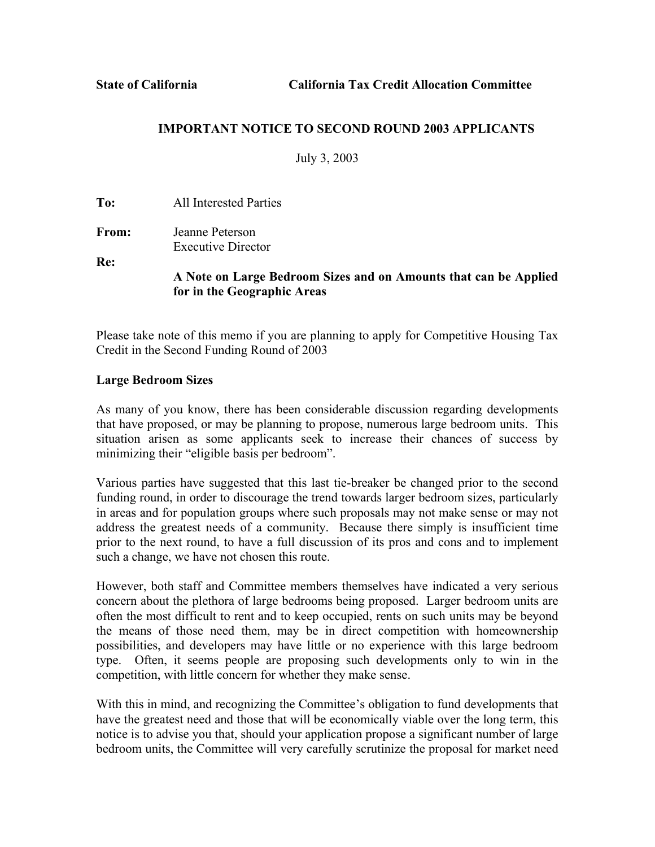## **IMPORTANT NOTICE TO SECOND ROUND 2003 APPLICANTS**

July 3, 2003

**To:** All Interested Parties

**From:** Jeanne Peterson Executive Director

**Re:**

**A Note on Large Bedroom Sizes and on Amounts that can be Applied for in the Geographic Areas**

Please take note of this memo if you are planning to apply for Competitive Housing Tax Credit in the Second Funding Round of 2003

## **Large Bedroom Sizes**

As many of you know, there has been considerable discussion regarding developments that have proposed, or may be planning to propose, numerous large bedroom units. This situation arisen as some applicants seek to increase their chances of success by minimizing their "eligible basis per bedroom".

Various parties have suggested that this last tie-breaker be changed prior to the second funding round, in order to discourage the trend towards larger bedroom sizes, particularly in areas and for population groups where such proposals may not make sense or may not address the greatest needs of a community. Because there simply is insufficient time prior to the next round, to have a full discussion of its pros and cons and to implement such a change, we have not chosen this route.

However, both staff and Committee members themselves have indicated a very serious concern about the plethora of large bedrooms being proposed. Larger bedroom units are often the most difficult to rent and to keep occupied, rents on such units may be beyond the means of those need them, may be in direct competition with homeownership possibilities, and developers may have little or no experience with this large bedroom type. Often, it seems people are proposing such developments only to win in the competition, with little concern for whether they make sense.

With this in mind, and recognizing the Committee's obligation to fund developments that have the greatest need and those that will be economically viable over the long term, this notice is to advise you that, should your application propose a significant number of large bedroom units, the Committee will very carefully scrutinize the proposal for market need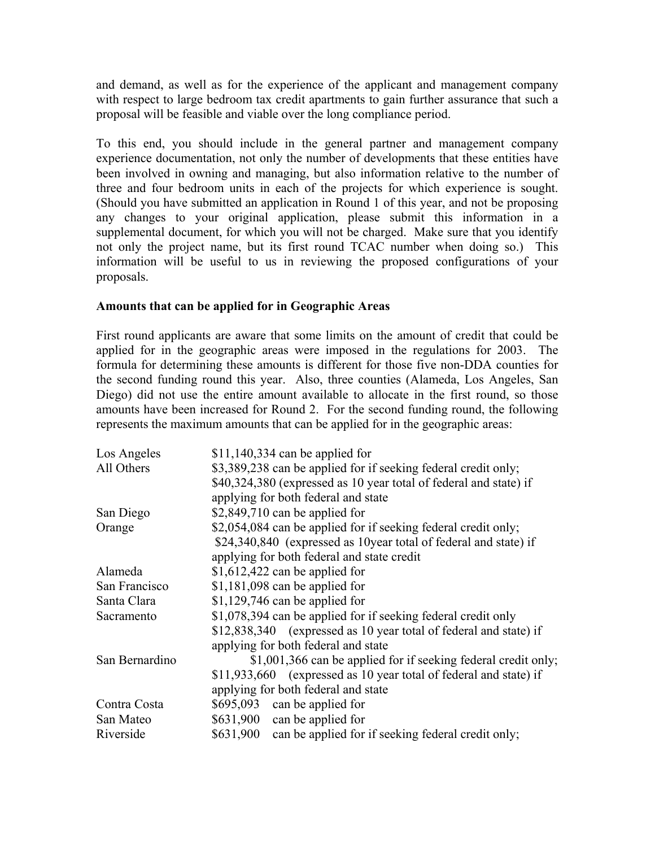and demand, as well as for the experience of the applicant and management company with respect to large bedroom tax credit apartments to gain further assurance that such a proposal will be feasible and viable over the long compliance period.

To this end, you should include in the general partner and management company experience documentation, not only the number of developments that these entities have been involved in owning and managing, but also information relative to the number of three and four bedroom units in each of the projects for which experience is sought. (Should you have submitted an application in Round 1 of this year, and not be proposing any changes to your original application, please submit this information in a supplemental document, for which you will not be charged. Make sure that you identify not only the project name, but its first round TCAC number when doing so.) This information will be useful to us in reviewing the proposed configurations of your proposals.

## **Amounts that can be applied for in Geographic Areas**

First round applicants are aware that some limits on the amount of credit that could be applied for in the geographic areas were imposed in the regulations for 2003. The formula for determining these amounts is different for those five non-DDA counties for the second funding round this year. Also, three counties (Alameda, Los Angeles, San Diego) did not use the entire amount available to allocate in the first round, so those amounts have been increased for Round 2. For the second funding round, the following represents the maximum amounts that can be applied for in the geographic areas:

| Los Angeles    | $$11,140,334$ can be applied for                                  |
|----------------|-------------------------------------------------------------------|
| All Others     | \$3,389,238 can be applied for if seeking federal credit only;    |
|                | \$40,324,380 (expressed as 10 year total of federal and state) if |
|                | applying for both federal and state                               |
| San Diego      | $$2,849,710$ can be applied for                                   |
| Orange         | \$2,054,084 can be applied for if seeking federal credit only;    |
|                | \$24,340,840 (expressed as 10year total of federal and state) if  |
|                | applying for both federal and state credit                        |
| Alameda        | $$1,612,422$ can be applied for                                   |
| San Francisco  | $$1,181,098$ can be applied for                                   |
| Santa Clara    | $$1,129,746$ can be applied for                                   |
| Sacramento     | \$1,078,394 can be applied for if seeking federal credit only     |
|                | \$12,838,340 (expressed as 10 year total of federal and state) if |
|                | applying for both federal and state                               |
| San Bernardino | \$1,001,366 can be applied for if seeking federal credit only;    |
|                | \$11,933,660 (expressed as 10 year total of federal and state) if |
|                | applying for both federal and state                               |
| Contra Costa   | \$695,093 can be applied for                                      |
| San Mateo      | \$631,900 can be applied for                                      |
| Riverside      | \$631,900 can be applied for if seeking federal credit only;      |
|                |                                                                   |